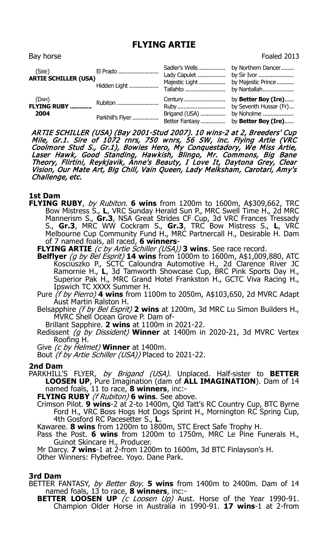## **FLYING ARTIE**

| Bay horse                                                    |                                     |                                                    | Foaled 2013                                                                        |
|--------------------------------------------------------------|-------------------------------------|----------------------------------------------------|------------------------------------------------------------------------------------|
| (SIRE)<br><b>ARTIE SCHILLER (USA)</b>                        | El Prado<br>Hidden Light            | Sadler's Wells<br>Majestic Light<br>Tallahto       | by Northern Dancer<br>by Majestic Prince<br>by Nantallah                           |
| (DAM)<br>$($ <sup>LAMI</sup> J<br><b>FLYING RUBY</b><br>2004 | <b>Rubiton </b><br>Parkhill's Flyer | Century<br>Ruby<br>Brigand (USA)<br>Better Fantasy | by Better Boy (Ire)<br>by Seventh Hussar (Fr)<br>by Noholme<br>by Better Boy (Ire) |

ARTIE SCHILLER (USA) (Bay 2001-Stud 2007). 10 wins-2 at 2, Breeders' Cup Mile, Gr.1. Sire of 1072 rnrs, 750 wnrs, 56 SW, inc. Flying Artie (VRC Coolmore Stud S., Gr.1), Bowies Hero, My Conquestadory, We Miss Artie, Laser Hawk, Good Standing, Hawkish, Blingo, Mr. Commons, Big Bane Theory, Flirtini, Reykjavik, Anne's Beauty, I Love It, Daytona Grey, Clear Vision, Our Mate Art, Big Chill, Vain Queen, Lady Melksham, Carotari, Amy's Challenge, etc.

- **1st Dam FLYING RUBY**, by Rubiton. **6 wins** from 1200m to 1600m, A\$309,662, TRC Bow Mistress S., **L**, VRC Sunday Herald Sun P., MRC Swell Time H., 2d MRC Mannerism S., **Gr.3**, NSA Great Strides CF Cup, 3d VRC Frances Tressady S., **Gr.3**, MRC WW Cockram S., **Gr.3**, TRC Bow Mistress S., **L**, VRC Melbourne Cup Community Fund H., MRC Partnercall H., Desirable H. Dam of 7 named foals, all raced, **6 winners**-
	- **FLYING ARTIE** (c by Artie Schiller (USA)) **3 wins**. See race record.
	- **Belflyer** (g by Bel Esprit) **14 wins** from 1000m to 1600m, A\$1,009,880, ATC Kosciuszko P., SCTC Caloundra Automotive H., 2d Clarence River JC Ramornie H., **L**, 3d Tamworth Showcase Cup, BRC Pink Sports Day H., Superior Pak H., MRC Grand Hotel Frankston H., GCTC Viva Racing H., Ipswich TC XXXX Summer H.
	- Pure (f by Pierro) **4 wins** from 1100m to 2050m, A\$103,650, 2d MVRC Adapt Aust Martin Ralston H.
	- Belsapphire (f by Bel Esprit) **2 wins** at 1200m, 3d MRC Lu Simon Builders H., MVRC Shell Ocean Grove P. Dam of-
		- Brillant Sapphire. **2 wins** at 1100m in 2021-22.
	- Redissent (g by Dissident) **Winner** at 1400m in 2020-21, 3d MVRC Vertex Roofing H.

Give (c by Helmet) **Winner** at 1400m.

Bout (f by Artie Schiller (USA)) Placed to 2021-22.

## **2nd Dam**

- PARKHILL'S FLYER, by Brigand (USA). Unplaced. Half-sister to **BETTER LOOSEN UP**, Pure Imagination (dam of **ALL IMAGINATION**). Dam of 14 named foals, 11 to race, **8 winners**, inc:-
	- **FLYING RUBY** (f Rubiton) **6 wins**. See above.
	- Crimson Pilot. **9 wins**-2 at 2-to 1400m, Qld Tatt's RC Country Cup, BTC Byrne Ford H., VRC Boss Hogs Hot Dogs Sprint H., Mornington RC Spring Cup, 4th Gosford RC Pacesetter S., **L**.

Kawaree. **8 wins** from 1200m to 1800m, STC Erect Safe Trophy H.

Pass the Post. **6 wins** from 1200m to 1750m, MRC Le Pine Funerals H., Guinot Skincare H., Producer.

Mr Darcy. **7 wins**-1 at 2-from 1200m to 1600m, 3d BTC Finlayson's H.

Other Winners: Flybefree. Yoyo. Dane Park.

## **3rd Dam**

BETTER FANTASY, by Better Boy. **5 wins** from 1400m to 2400m. Dam of 14 named foals, 13 to race, **8 winners**, inc:-

**BETTER LOOSEN UP** (c Loosen Up) Aust. Horse of the Year 1990-91. Champion Older Horse in Australia in 1990-91. **17 wins**-1 at 2-from